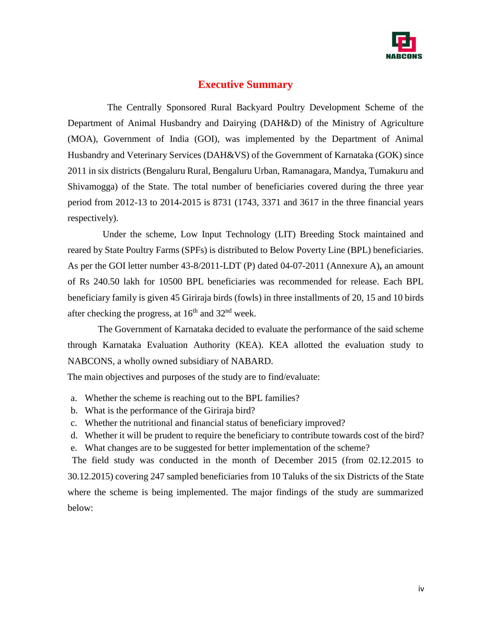

# **Executive Summary**

 The Centrally Sponsored Rural Backyard Poultry Development Scheme of the Department of Animal Husbandry and Dairying (DAH&D) of the Ministry of Agriculture (MOA), Government of India (GOI), was implemented by the Department of Animal Husbandry and Veterinary Services (DAH&VS) of the Government of Karnataka (GOK) since 2011 in six districts (Bengaluru Rural, Bengaluru Urban, Ramanagara, Mandya, Tumakuru and Shivamogga) of the State. The total number of beneficiaries covered during the three year period from 2012-13 to 2014-2015 is 8731 (1743, 3371 and 3617 in the three financial years respectively).

 Under the scheme, Low Input Technology (LIT) Breeding Stock maintained and reared by State Poultry Farms (SPFs) is distributed to Below Poverty Line (BPL) beneficiaries. As per the GOI letter number 43-8/2011-LDT (P) dated 04-07-2011 (Annexure A)**,** an amount of Rs 240.50 lakh for 10500 BPL beneficiaries was recommended for release. Each BPL beneficiary family is given 45 Giriraja birds (fowls) in three installments of 20, 15 and 10 birds after checking the progress, at  $16<sup>th</sup>$  and  $32<sup>nd</sup>$  week.

 The Government of Karnataka decided to evaluate the performance of the said scheme through Karnataka Evaluation Authority (KEA). KEA allotted the evaluation study to NABCONS, a wholly owned subsidiary of NABARD.

The main objectives and purposes of the study are to find/evaluate:

- a. Whether the scheme is reaching out to the BPL families?
- b. What is the performance of the Giriraja bird?
- c. Whether the nutritional and financial status of beneficiary improved?
- d. Whether it will be prudent to require the beneficiary to contribute towards cost of the bird? e. What changes are to be suggested for better implementation of the scheme?

 The field study was conducted in the month of December 2015 (from 02.12.2015 to 30.12.2015) covering 247 sampled beneficiaries from 10 Taluks of the six Districts of the State where the scheme is being implemented. The major findings of the study are summarized below: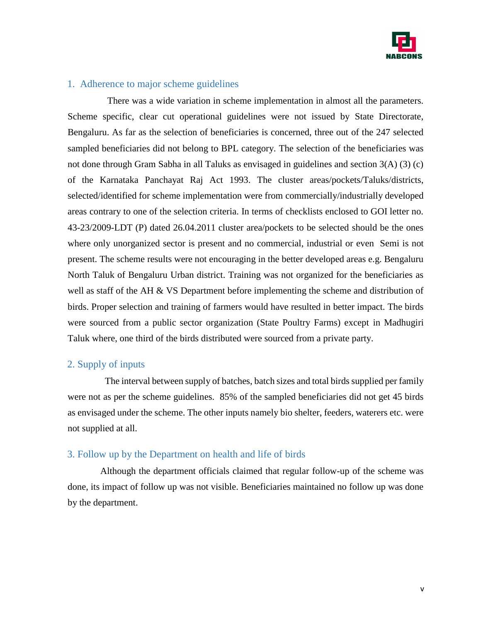

### 1. Adherence to major scheme guidelines

 There was a wide variation in scheme implementation in almost all the parameters. Scheme specific, clear cut operational guidelines were not issued by State Directorate, Bengaluru. As far as the selection of beneficiaries is concerned, three out of the 247 selected sampled beneficiaries did not belong to BPL category. The selection of the beneficiaries was not done through Gram Sabha in all Taluks as envisaged in guidelines and section 3(A) (3) (c) of the Karnataka Panchayat Raj Act 1993. The cluster areas/pockets/Taluks/districts, selected/identified for scheme implementation were from commercially/industrially developed areas contrary to one of the selection criteria. In terms of checklists enclosed to GOI letter no. 43-23/2009-LDT (P) dated 26.04.2011 cluster area/pockets to be selected should be the ones where only unorganized sector is present and no commercial, industrial or even Semi is not present. The scheme results were not encouraging in the better developed areas e.g. Bengaluru North Taluk of Bengaluru Urban district. Training was not organized for the beneficiaries as well as staff of the AH & VS Department before implementing the scheme and distribution of birds. Proper selection and training of farmers would have resulted in better impact. The birds were sourced from a public sector organization (State Poultry Farms) except in Madhugiri Taluk where, one third of the birds distributed were sourced from a private party.

## 2. Supply of inputs

 The interval between supply of batches, batch sizes and total birds supplied per family were not as per the scheme guidelines. 85% of the sampled beneficiaries did not get 45 birds as envisaged under the scheme. The other inputs namely bio shelter, feeders, waterers etc. were not supplied at all.

#### 3. Follow up by the Department on health and life of birds

 Although the department officials claimed that regular follow-up of the scheme was done, its impact of follow up was not visible. Beneficiaries maintained no follow up was done by the department.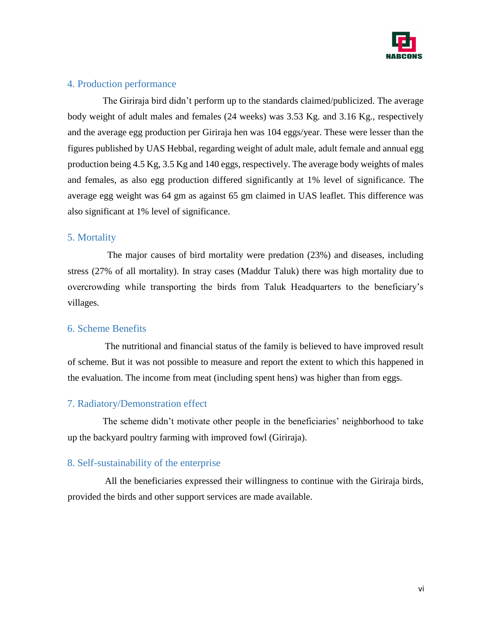

# 4. Production performance

 The Giriraja bird didn't perform up to the standards claimed/publicized. The average body weight of adult males and females (24 weeks) was 3.53 Kg. and 3.16 Kg., respectively and the average egg production per Giriraja hen was 104 eggs/year. These were lesser than the figures published by UAS Hebbal, regarding weight of adult male, adult female and annual egg production being 4.5 Kg, 3.5 Kg and 140 eggs, respectively. The average body weights of males and females, as also egg production differed significantly at 1% level of significance. The average egg weight was 64 gm as against 65 gm claimed in UAS leaflet. This difference was also significant at 1% level of significance.

# 5. Mortality

 The major causes of bird mortality were predation (23%) and diseases, including stress (27% of all mortality). In stray cases (Maddur Taluk) there was high mortality due to overcrowding while transporting the birds from Taluk Headquarters to the beneficiary's villages.

## 6. Scheme Benefits

 The nutritional and financial status of the family is believed to have improved result of scheme. But it was not possible to measure and report the extent to which this happened in the evaluation. The income from meat (including spent hens) was higher than from eggs.

# 7. Radiatory/Demonstration effect

 The scheme didn't motivate other people in the beneficiaries' neighborhood to take up the backyard poultry farming with improved fowl (Giriraja).

## 8. Self-sustainability of the enterprise

 All the beneficiaries expressed their willingness to continue with the Giriraja birds, provided the birds and other support services are made available.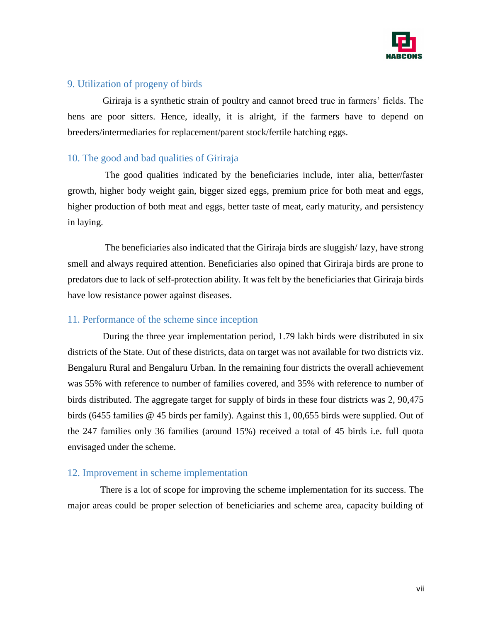

# 9. Utilization of progeny of birds

 Giriraja is a synthetic strain of poultry and cannot breed true in farmers' fields. The hens are poor sitters. Hence, ideally, it is alright, if the farmers have to depend on breeders/intermediaries for replacement/parent stock/fertile hatching eggs.

## 10. The good and bad qualities of Giriraja

 The good qualities indicated by the beneficiaries include, inter alia, better/faster growth, higher body weight gain, bigger sized eggs, premium price for both meat and eggs, higher production of both meat and eggs, better taste of meat, early maturity, and persistency in laying.

 The beneficiaries also indicated that the Giriraja birds are sluggish/ lazy, have strong smell and always required attention. Beneficiaries also opined that Giriraja birds are prone to predators due to lack of self-protection ability. It was felt by the beneficiaries that Giriraja birds have low resistance power against diseases.

## 11. Performance of the scheme since inception

 During the three year implementation period, 1.79 lakh birds were distributed in six districts of the State. Out of these districts, data on target was not available for two districts viz. Bengaluru Rural and Bengaluru Urban. In the remaining four districts the overall achievement was 55% with reference to number of families covered, and 35% with reference to number of birds distributed. The aggregate target for supply of birds in these four districts was 2, 90,475 birds (6455 families @ 45 birds per family). Against this 1, 00,655 birds were supplied. Out of the 247 families only 36 families (around 15%) received a total of 45 birds i.e. full quota envisaged under the scheme.

#### 12. Improvement in scheme implementation

 There is a lot of scope for improving the scheme implementation for its success. The major areas could be proper selection of beneficiaries and scheme area, capacity building of